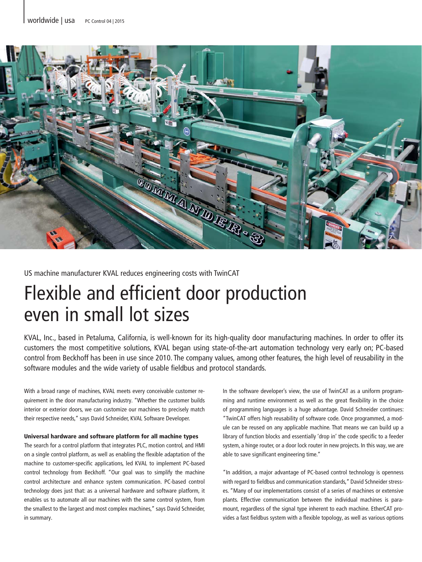

US machine manufacturer KVAL reduces engineering costs with TwinCAT

# Flexible and efficient door production even in small lot sizes

KVAL, Inc., based in Petaluma, California, is well-known for its high-quality door manufacturing machines. In order to offer its customers the most competitive solutions, KVAL began using state-of-the-art automation technology very early on; PC-based control from Beckhoff has been in use since 2010. The company values, among other features, the high level of reusability in the software modules and the wide variety of usable fieldbus and protocol standards.

With a broad range of machines, KVAL meets every conceivable customer requirement in the door manufacturing industry. "Whether the customer builds interior or exterior doors, we can customize our machines to precisely match their respective needs," says David Schneider, KVAL Software Developer.

## Universal hardware and software platform for all machine types

The search for a control platform that integrates PLC, motion control, and HMI on a single control platform, as well as enabling the flexible adaptation of the machine to customer-specific applications, led KVAL to implement PC-based control technology from Beckhoff. "Our goal was to simplify the machine control architecture and enhance system communication. PC-based control technology does just that: as a universal hardware and software platform, it enables us to automate all our machines with the same control system, from the smallest to the largest and most complex machines," says David Schneider, in summary.

In the software developer's view, the use of TwinCAT as a uniform programming and runtime environment as well as the great flexibility in the choice of programming languages is a huge advantage. David Schneider continues: "TwinCAT offers high reusability of software code. Once programmed, a module can be reused on any applicable machine. That means we can build up a library of function blocks and essentially 'drop in' the code specific to a feeder system, a hinge router, or a door lock router in new projects. In this way, we are able to save significant engineering time."

"In addition, a major advantage of PC-based control technology is openness with regard to fieldbus and communication standards," David Schneider stresses. "Many of our implementations consist of a series of machines or extensive plants. Effective communication between the individual machines is paramount, regardless of the signal type inherent to each machine. EtherCAT provides a fast fieldbus system with a flexible topology, as well as various options